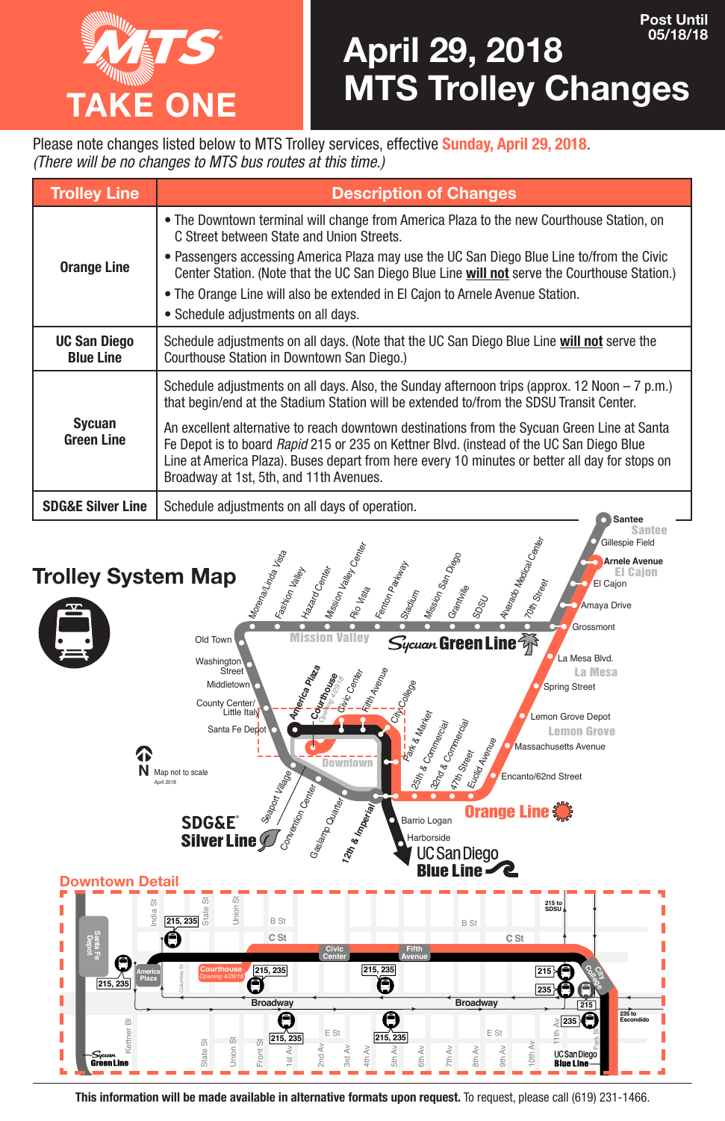

Please note changes listed below to MTS Trolley services, effective **Sunday, April 29, 2018**. *(There will be no changes to MTS bus routes at this time.)* 

| <b>Trolley Line</b>                     | <b>Description of Changes</b>                                                                                                                                                                                                                                                                                                                                                                                                                                                                                                     |
|-----------------------------------------|-----------------------------------------------------------------------------------------------------------------------------------------------------------------------------------------------------------------------------------------------------------------------------------------------------------------------------------------------------------------------------------------------------------------------------------------------------------------------------------------------------------------------------------|
| <b>Orange Line</b>                      | • The Downtown terminal will change from America Plaza to the new Courthouse Station, on<br>C Street between State and Union Streets.<br>• Passengers accessing America Plaza may use the UC San Diego Blue Line to/from the Civic<br>Center Station. (Note that the UC San Diego Blue Line will not serve the Courthouse Station.)<br>. The Orange Line will also be extended in El Cajon to Arnele Avenue Station.<br>• Schedule adjustments on all days.                                                                       |
| <b>UC San Diego</b><br><b>Blue Line</b> | Schedule adjustments on all days. (Note that the UC San Diego Blue Line will not serve the<br>Courthouse Station in Downtown San Diego.)                                                                                                                                                                                                                                                                                                                                                                                          |
| Sycuan<br><b>Green Line</b>             | Schedule adjustments on all days. Also, the Sunday afternoon trips (approx. 12 Noon $-7$ p.m.)<br>that begin/end at the Stadium Station will be extended to/from the SDSU Transit Center.<br>An excellent alternative to reach downtown destinations from the Sycuan Green Line at Santa<br>Fe Depot is to board Rapid 215 or 235 on Kettner Blvd. (instead of the UC San Diego Blue<br>Line at America Plaza). Buses depart from here every 10 minutes or better all day for stops on<br>Broadway at 1st, 5th, and 11th Avenues. |
| <b>SDG&amp;E Silver Line</b>            | Schedule adjustments on all days of operation.<br>Santee                                                                                                                                                                                                                                                                                                                                                                                                                                                                          |
|                                         |                                                                                                                                                                                                                                                                                                                                                                                                                                                                                                                                   |



**This information will be made available in alternative formats upon request.** To request, please call (619) 231-1466.